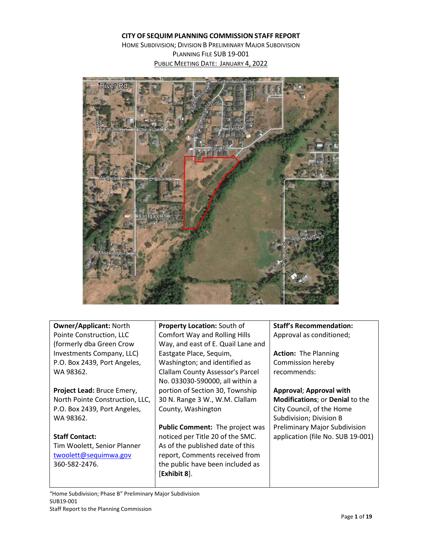#### **CITY OF SEQUIM PLANNING COMMISSION STAFF REPORT**

HOME SUBDIVISION; DIVISION B PRELIMINARY MAJOR SUBDIVISION PLANNING FILE SUB 19-001 PUBLIC MEETING DATE: JANUARY 4, 2022



**Owner/Applicant:** North Pointe Construction, LLC (formerly dba Green Crow Investments Company, LLC) P.O. Box 2439, Port Angeles, WA 98362.

**Project Lead:** Bruce Emery, North Pointe Construction, LLC, P.O. Box 2439, Port Angeles, WA 98362.

**Staff Contact:** Tim Woolett, Senior Planner [twoolett@sequimwa.gov](mailto:twoolett@sequimwa.gov) 360-582-2476.

**Property Location:** South of Comfort Way and Rolling Hills Way, and east of E. Quail Lane and Eastgate Place, Sequim, Washington; and identified as Clallam County Assessor's Parcel No. 033030-590000, all within a portion of Section 30, Township 30 N. Range 3 W., W.M. Clallam County, Washington

**Public Comment:** The project was noticed per Title 20 of the SMC. As of the published date of this report, Comments received from the public have been included as [**Exhibit 8**].

**Staff's Recommendation:**  Approval as conditioned;

**Action:** The Planning Commission hereby recommends:

**Approval**; **Approval with Modifications**; or **Denial** to the City Council, of the Home Subdivision; Division B Preliminary Major Subdivision application (file No. SUB 19-001)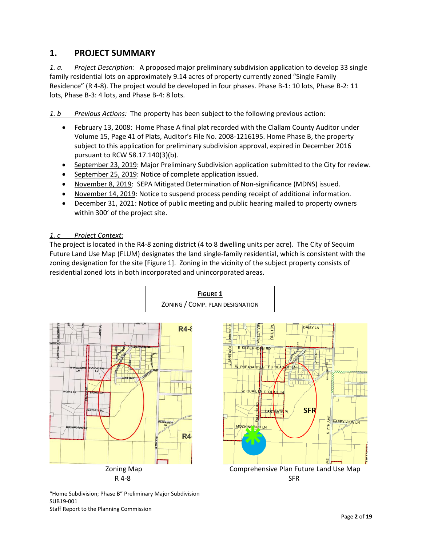# **1. PROJECT SUMMARY**

*1. a. Project Description:* A proposed major preliminary subdivision application to develop 33 single family residential lots on approximately 9.14 acres of property currently zoned "Single Family Residence" (R 4-8). The project would be developed in four phases. Phase B-1: 10 lots, Phase B-2: 11 lots, Phase B-3: 4 lots, and Phase B-4: 8 lots.

*1. b Previous Actions:* The property has been subject to the following previous action:

- February 13, 2008: Home Phase A final plat recorded with the Clallam County Auditor under Volume 15, Page 41 of Plats, Auditor's File No. 2008-1216195. Home Phase B, the property subject to this application for preliminary subdivision approval, expired in December 2016 pursuant to RCW 58.17.140(3)(b).
- September 23, 2019: Major Preliminary Subdivision application submitted to the City for review.
- September 25, 2019: Notice of complete application issued.
- November 8, 2019: SEPA Mitigated Determination of Non-significance (MDNS) issued.
- November 14, 2019: Notice to suspend process pending receipt of additional information.
- December 31, 2021: Notice of public meeting and public hearing mailed to property owners within 300' of the project site.

### *1. c Project Context:*

The project is located in the R4-8 zoning district (4 to 8 dwelling units per acre). The City of Sequim Future Land Use Map (FLUM) designates the land single-family residential, which is consistent with the zoning designation for the site [Figure 1]. Zoning in the vicinity of the subject property consists of residential zoned lots in both incorporated and unincorporated areas.



"Home Subdivision; Phase B" Preliminary Major Subdivision SUB19-001 Staff Report to the Planning Commission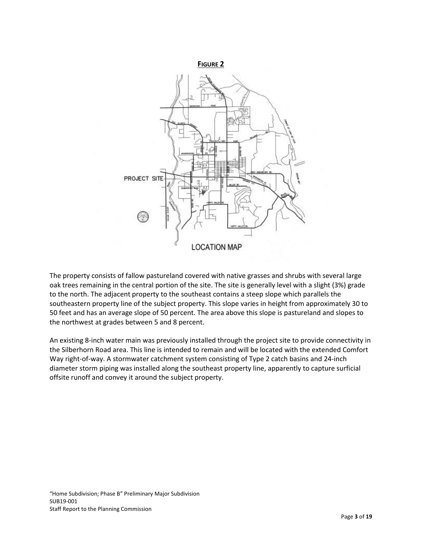

The property consists of fallow pastureland covered with native grasses and shrubs with several large oak trees remaining in the central portion of the site. The site is generally level with a slight (3%) grade to the north. The adjacent property to the southeast contains a steep slope which parallels the southeastern property line of the subject property. This slope varies in height from approximately 30 to 50 feet and has an average slope of 50 percent. The area above this slope is pastureland and slopes to the northwest at grades between 5 and 8 percent.

An existing 8-inch water main was previously installed through the project site to provide connectivity in the Silberhorn Road area. This line is intended to remain and will be located with the extended Comfort Way right-of-way. A stormwater catchment system consisting of Type 2 catch basins and 24-inch diameter storm piping was installed along the southeast property line, apparently to capture surficial offsite runoff and convey it around the subject property.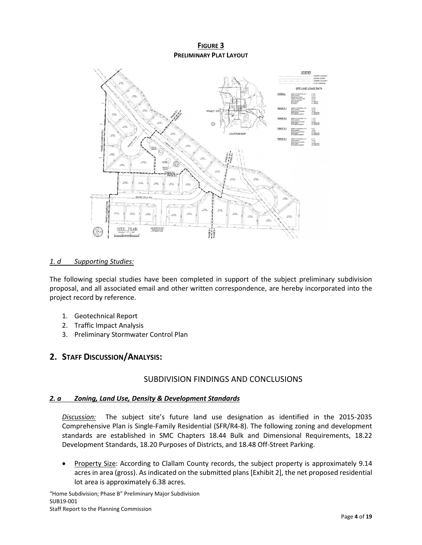### **FIGURE 3 PRELIMINARY PLAT LAYOUT**



#### *1. d Supporting Studies:*

The following special studies have been completed in support of the subject preliminary subdivision proposal, and all associated email and other written correspondence, are hereby incorporated into the project record by reference.

- 1. Geotechnical Report
- 2. Traffic Impact Analysis
- 3. Preliminary Stormwater Control Plan

# **2. STAFF DISCUSSION/ANALYSIS:**

## SUBDIVISION FINDINGS AND CONCLUSIONS

#### *2. a Zoning, Land Use, Density & Development Standards*

*Discussion:* The subject site's future land use designation as identified in the 2015-2035 Comprehensive Plan is Single-Family Residential (SFR/R4-8). The following zoning and development standards are established in SMC Chapters 18.44 Bulk and Dimensional Requirements, 18.22 Development Standards, 18.20 Purposes of Districts, and 18.48 Off-Street Parking.

• Property Size: According to Clallam County records, the subject property is approximately 9.14 acres in area (gross). As indicated on the submitted plans [Exhibit 2], the net proposed residential lot area is approximately 6.38 acres.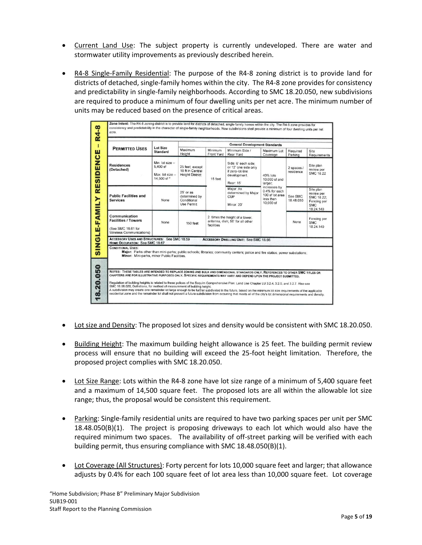- Current Land Use: The subject property is currently undeveloped. There are water and stormwater utility improvements as previously described herein.
- R4-8 Single-Family Residential: The purpose of the R4-8 zoning district is to provide land for districts of detached, single-family homes within the city. The R4-8 zone provides for consistency and predictability in single-family neighborhoods. According to SMC 18.20.050, new subdivisions are required to produce a minimum of four dwelling units per net acre. The minimum number of units may be reduced based on the presence of critical areas.

|                                                                                                                                                                                                                                                     |                                                              | Maximum                                                       |                       |                                                                                                                                                                                | <b>General Development Standards</b>                                                                               |                         |                                                                                 |  |  |  |
|-----------------------------------------------------------------------------------------------------------------------------------------------------------------------------------------------------------------------------------------------------|--------------------------------------------------------------|---------------------------------------------------------------|-----------------------|--------------------------------------------------------------------------------------------------------------------------------------------------------------------------------|--------------------------------------------------------------------------------------------------------------------|-------------------------|---------------------------------------------------------------------------------|--|--|--|
| <b>PERMITTED USES</b>                                                                                                                                                                                                                               | <b>Lot Size</b><br><b>Standard</b>                           | Height                                                        | Minimum<br>Front Yard | Minimum Side /<br>Rear Yard                                                                                                                                                    | Maximum Lot<br>Coverage                                                                                            | Required<br>Parking     | Site<br>Requirements                                                            |  |  |  |
| <b>Residences</b><br>(Detached)                                                                                                                                                                                                                     | Min. lot size -<br>5.400 sf<br>Max. lot size -<br>14.500 sf* | 25 feet, except<br>18 ft in Central<br><b>Height District</b> | 15 feet               | Side: 6' each side;<br>or 12' one side only<br>if zero-lot-line<br>development.<br>Rear: 15'                                                                                   | 40% lots<br>10,000 sf and<br>larger:<br>increases by<br>0.4% for each<br>100 sf lot area<br>less than<br>10,000 sf | 2 spaces /<br>residence | Site plan<br>review per<br><b>SMC 18.22</b>                                     |  |  |  |
| <b>Public Facilities and</b><br><b>Services</b>                                                                                                                                                                                                     | None                                                         | $25'$ or as<br>determined by<br>Conditional<br>Use Permit     |                       | Major: As<br>determined by Major<br>CUP<br>Minor: 20'                                                                                                                          |                                                                                                                    | See SMC<br>18.48.050    | Site plan<br>review per<br>SMC 18.22;<br>Fencing per<br><b>SMC</b><br>18.24.140 |  |  |  |
| Communication<br><b>Facilities / Towers</b><br>(See SMC 18.61 for<br>Wireless Communications)                                                                                                                                                       | None                                                         | 150 feet                                                      | facilities            | 2 times the height of a tower,<br>antenna, dish; 50' for all other                                                                                                             |                                                                                                                    | None                    | Fencing per<br><b>SMC</b><br>18.24.140                                          |  |  |  |
| <b>ACCESSORY USES AND STRUCTURES: See SMC 18.59</b><br><b>HOME OCCUPATION: See SMC 18.67</b><br><b>CONDITIONAL USES:</b>                                                                                                                            |                                                              |                                                               |                       | <b>ACCESSORY DWELLING UNIT: See SMC 18.66</b><br>Maior: Parks other than mini-parks; public schools; libraries; community centers; police and fire statios; power substations; |                                                                                                                    |                         |                                                                                 |  |  |  |
| NOTES: THESE TABLES ARE INTENDED TO REPLACE ZONING AND BULK AND DIMENSIONAL STANDARDS ONLY, REFERENCES TO OTHER SMC TITLES OR<br>CHAPTERS ARE FOR ILLUSTRATIVE PURPOSES ONLY. SPECIFIC REQUIREMENTS MAY VARY AND DEPEND UPON THE PROJECT SUBMITTED. | Minor: Mini-parks, minor Public Facilities.                  |                                                               |                       |                                                                                                                                                                                |                                                                                                                    |                         |                                                                                 |  |  |  |

- Lot size and Density: The proposed lot sizes and density would be consistent with SMC 18.20.050.
- Building Height: The maximum building height allowance is 25 feet. The building permit review process will ensure that no building will exceed the 25-foot height limitation. Therefore, the proposed project complies with SMC 18.20.050.
- Lot Size Range: Lots within the R4-8 zone have lot size range of a minimum of 5,400 square feet and a maximum of 14,500 square feet. The proposed lots are all within the allowable lot size range; thus, the proposal would be consistent this requirement.
- Parking: Single-family residential units are required to have two parking spaces per unit per SMC 18.48.050(B)(1). The project is proposing driveways to each lot which would also have the required minimum two spaces. The availability of off-street parking will be verified with each building permit, thus ensuring compliance with SMC 18.48.050(B)(1).
- Lot Coverage (All Structures): Forty percent for lots 10,000 square feet and larger; that allowance adjusts by 0.4% for each 100 square feet of lot area less than 10,000 square feet. Lot coverage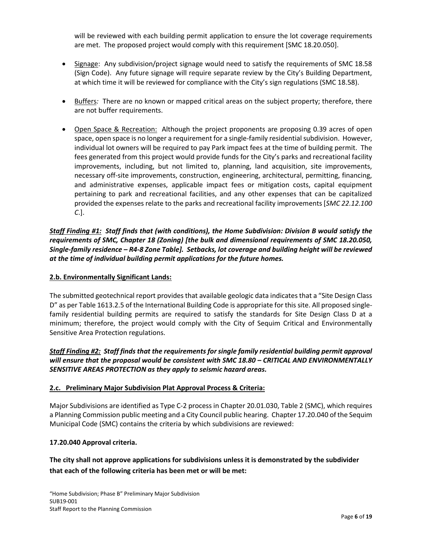will be reviewed with each building permit application to ensure the lot coverage requirements are met. The proposed project would comply with this requirement [SMC 18.20.050].

- Signage: Any subdivision/project signage would need to satisfy the requirements of SMC 18.58 (Sign Code). Any future signage will require separate review by the City's Building Department, at which time it will be reviewed for compliance with the City's sign regulations (SMC 18.58).
- Buffers*:* There are no known or mapped critical areas on the subject property; therefore, there are not buffer requirements.
- Open Space & Recreation: Although the project proponents are proposing 0.39 acres of open space, open space is no longer a requirement for a single-family residential subdivision. However, individual lot owners will be required to pay Park impact fees at the time of building permit. The fees generated from this project would provide funds for the City's parks and recreational facility improvements, including, but not limited to, planning, land acquisition, site improvements, necessary off-site improvements, construction, engineering, architectural, permitting, financing, and administrative expenses, applicable impact fees or mitigation costs, capital equipment pertaining to park and recreational facilities, and any other expenses that can be capitalized provided the expenses relate to the parks and recreational facility improvements [*SMC 22.12.100 C*.].

*Staff Finding #1: Staff finds that (with conditions), the Home Subdivision: Division B would satisfy the requirements of SMC, Chapter 18 (Zoning) [the bulk and dimensional requirements of SMC 18.20.050, Single-family residence – R4-8 Zone Table]. Setbacks, lot coverage and building height will be reviewed at the time of individual building permit applications for the future homes.* 

# **2.b. Environmentally Significant Lands:**

The submitted geotechnical report provides that available geologic data indicates that a "Site Design Class D" as per Table 1613.2.5 of the International Building Code is appropriate for this site. All proposed singlefamily residential building permits are required to satisfy the standards for Site Design Class D at a minimum; therefore, the project would comply with the City of Sequim Critical and Environmentally Sensitive Area Protection regulations.

# *Staff Finding #2: Staff finds that the requirements for single family residential building permit approval will ensure that the proposal would be consistent with SMC 18.80 – CRITICAL AND ENVIRONMENTALLY SENSITIVE AREAS PROTECTION as they apply to seismic hazard areas.*

### **2.c. Preliminary Major Subdivision Plat Approval Process & Criteria:**

Major Subdivisions are identified as Type C-2 process in Chapter 20.01.030, Table 2 (SMC), which requires a Planning Commission public meeting and a City Council public hearing. Chapter 17.20.040 of the Sequim Municipal Code (SMC) contains the criteria by which subdivisions are reviewed:

### **17.20.040 Approval criteria.**

**The city shall not approve applications for subdivisions unless it is demonstrated by the subdivider that each of the following criteria has been met or will be met:**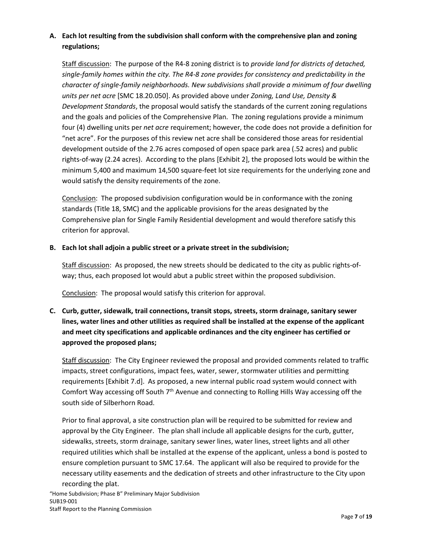# **A. Each lot resulting from the subdivision shall conform with the comprehensive plan and zoning regulations;**

Staff discussion: The purpose of the R4-8 zoning district is to *provide land for districts of detached, single-family homes within the city. The R4-8 zone provides for consistency and predictability in the character of single-family neighborhoods. New subdivisions shall provide a minimum of four dwelling units per net acre* [SMC 18.20.050]. As provided above under *Zoning, Land Use, Density & Development Standards*, the proposal would satisfy the standards of the current zoning regulations and the goals and policies of the Comprehensive Plan. The zoning regulations provide a minimum four (4) dwelling units per *net acre* requirement; however, the code does not provide a definition for "net acre". For the purposes of this review net acre shall be considered those areas for residential development outside of the 2.76 acres composed of open space park area (.52 acres) and public rights-of-way (2.24 acres). According to the plans [Exhibit 2], the proposed lots would be within the minimum 5,400 and maximum 14,500 square-feet lot size requirements for the underlying zone and would satisfy the density requirements of the zone.

Conclusion: The proposed subdivision configuration would be in conformance with the zoning standards (Title 18, SMC) and the applicable provisions for the areas designated by the Comprehensive plan for Single Family Residential development and would therefore satisfy this criterion for approval.

# **B. Each lot shall adjoin a public street or a private street in the subdivision;**

Staff discussion: As proposed, the new streets should be dedicated to the city as public rights-ofway; thus, each proposed lot would abut a public street within the proposed subdivision.

Conclusion: The proposal would satisfy this criterion for approval.

# **C. Curb, gutter, sidewalk, trail connections, transit stops, streets, storm drainage, sanitary sewer lines, water lines and other utilities as required shall be installed at the expense of the applicant and meet city specifications and applicable ordinances and the city engineer has certified or approved the proposed plans;**

Staff discussion: The City Engineer reviewed the proposal and provided comments related to traffic impacts, street configurations, impact fees, water, sewer, stormwater utilities and permitting requirements [Exhibit 7.d]. As proposed, a new internal public road system would connect with Comfort Way accessing off South 7<sup>th</sup> Avenue and connecting to Rolling Hills Way accessing off the south side of Silberhorn Road.

Prior to final approval, a site construction plan will be required to be submitted for review and approval by the City Engineer. The plan shall include all applicable designs for the curb, gutter, sidewalks, streets, storm drainage, sanitary sewer lines, water lines, street lights and all other required utilities which shall be installed at the expense of the applicant, unless a bond is posted to ensure completion pursuant to SMC 17.64. The applicant will also be required to provide for the necessary utility easements and the dedication of streets and other infrastructure to the City upon recording the plat.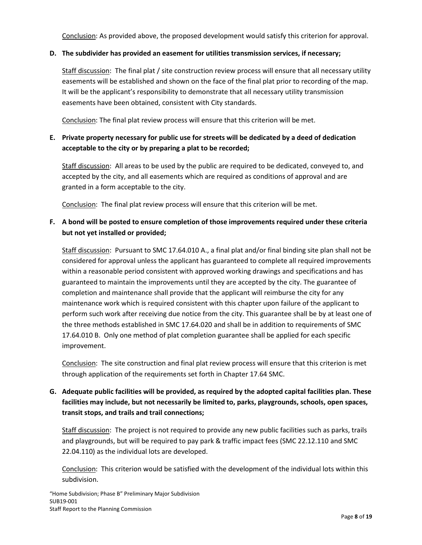Conclusion: As provided above, the proposed development would satisfy this criterion for approval.

## **D. The subdivider has provided an easement for utilities transmission services, if necessary;**

Staff discussion: The final plat / site construction review process will ensure that all necessary utility easements will be established and shown on the face of the final plat prior to recording of the map. It will be the applicant's responsibility to demonstrate that all necessary utility transmission easements have been obtained, consistent with City standards.

Conclusion: The final plat review process will ensure that this criterion will be met.

# **E. Private property necessary for public use for streets will be dedicated by a deed of dedication acceptable to the city or by preparing a plat to be recorded;**

Staff discussion: All areas to be used by the public are required to be dedicated, conveyed to, and accepted by the city, and all easements which are required as conditions of approval and are granted in a form acceptable to the city.

Conclusion: The final plat review process will ensure that this criterion will be met.

# **F. A bond will be posted to ensure completion of those improvements required under these criteria but not yet installed or provided;**

Staff discussion: Pursuant to SMC 17.64.010 A., a final plat and/or final binding site plan shall not be considered for approval unless the applicant has guaranteed to complete all required improvements within a reasonable period consistent with approved working drawings and specifications and has guaranteed to maintain the improvements until they are accepted by the city. The guarantee of completion and maintenance shall provide that the applicant will reimburse the city for any maintenance work which is required consistent with this chapter upon failure of the applicant to perform such work after receiving due notice from the city. This guarantee shall be by at least one of the three methods established in SMC [17.64.020](https://www.codepublishing.com/WA/Sequim/html/Sequim17/Sequim1764.html#17.64.020) and shall be in addition to requirements of SMC 17.64.010 B. Only one method of plat completion guarantee shall be applied for each specific improvement.

Conclusion: The site construction and final plat review process will ensure that this criterion is met through application of the requirements set forth in Chapter 17.64 SMC.

# **G. Adequate public facilities will be provided, as required by the adopted capital facilities plan. These facilities may include, but not necessarily be limited to, parks, playgrounds, schools, open spaces, transit stops, and trails and trail connections;**

Staff discussion: The project is not required to provide any new public facilities such as parks, trails and playgrounds, but will be required to pay park & traffic impact fees (SMC 22.12.110 and SMC 22.04.110) as the individual lots are developed.

Conclusion: This criterion would be satisfied with the development of the individual lots within this subdivision.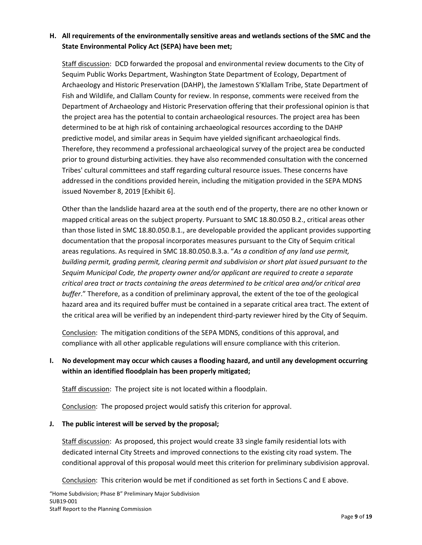# **H. All requirements of the environmentally sensitive areas and wetlands sections of the SMC and the State Environmental Policy Act (SEPA) have been met;**

Staff discussion: DCD forwarded the proposal and environmental review documents to the City of Sequim Public Works Department, Washington State Department of Ecology, Department of Archaeology and Historic Preservation (DAHP), the Jamestown S'Klallam Tribe, State Department of Fish and Wildlife, and Clallam County for review. In response, comments were received from the Department of Archaeology and Historic Preservation offering that their professional opinion is that the project area has the potential to contain archaeological resources. The project area has been determined to be at high risk of containing archaeological resources according to the DAHP predictive model, and similar areas in Sequim have yielded significant archaeological finds. Therefore, they recommend a professional archaeological survey of the project area be conducted prior to ground disturbing activities. they have also recommended consultation with the concerned Tribes' cultural committees and staff regarding cultural resource issues. These concerns have addressed in the conditions provided herein, including the mitigation provided in the SEPA MDNS issued November 8, 2019 [Exhibit 6].

Other than the landslide hazard area at the south end of the property, there are no other known or mapped critical areas on the subject property. Pursuant to SMC 18.80.050 B.2., critical areas other than those listed in SMC 18.80.050.B.1., are developable provided the applicant provides supporting documentation that the proposal incorporates measures pursuant to the City of Sequim critical areas regulations. As required in SMC 18.80.050.B.3.a. "*As a condition of any land use permit, building permit, grading permit, clearing permit and subdivision or short plat issued pursuant to the Sequim Municipal Code, the property owner and/or applicant are required to create a separate critical area tract or tracts containing the areas determined to be critical area and/or critical area buffer*." Therefore, as a condition of preliminary approval, the extent of the toe of the geological hazard area and its required buffer must be contained in a separate critical area tract. The extent of the critical area will be verified by an independent third-party reviewer hired by the City of Sequim.

Conclusion: The mitigation conditions of the SEPA MDNS, conditions of this approval, and compliance with all other applicable regulations will ensure compliance with this criterion.

# **I. No development may occur which causes a flooding hazard, and until any development occurring within an identified floodplain has been properly mitigated;**

Staff discussion: The project site is not located within a floodplain.

Conclusion: The proposed project would satisfy this criterion for approval.

### **J. The public interest will be served by the proposal;**

Staff discussion: As proposed, this project would create 33 single family residential lots with dedicated internal City Streets and improved connections to the existing city road system. The conditional approval of this proposal would meet this criterion for preliminary subdivision approval.

Conclusion: This criterion would be met if conditioned as set forth in Sections C and E above.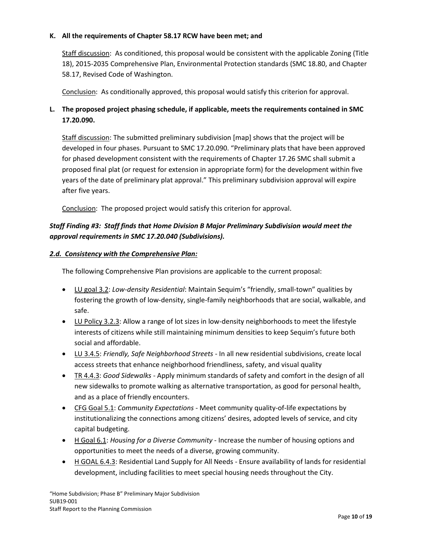### **K. All the requirements of Chapter [58.17](https://www.codepublishing.com/cgi-bin/rcw.pl?cite=58.17) RCW have been met; and**

Staff discussion: As conditioned, this proposal would be consistent with the applicable Zoning (Title 18), 2015-2035 Comprehensive Plan, Environmental Protection standards (SMC 18.80, and Chapter 58.17, Revised Code of Washington.

Conclusion: As conditionally approved, this proposal would satisfy this criterion for approval.

# **L. The proposed project phasing schedule, if applicable, meets the requirements contained in SMC [17.20.090.](https://www.codepublishing.com/WA/Sequim/html/Sequim17/Sequim1720.html#17.20.090)**

Staff discussion: The submitted preliminary subdivision [map] shows that the project will be developed in four phases. Pursuant to SMC 17.20.090. "Preliminary plats that have been approved for phased development consistent with the requirements of Chapter 17.26 SMC shall submit a proposed final plat (or request for extension in appropriate form) for the development within five years of the date of preliminary plat approval." This preliminary subdivision approval will expire after five years.

Conclusion: The proposed project would satisfy this criterion for approval.

# *Staff Finding #3: Staff finds that Home Division B Major Preliminary Subdivision would meet the approval requirements in SMC 17.20.040 (Subdivisions).*

## *2.d. Consistency with the Comprehensive Plan:*

The following Comprehensive Plan provisions are applicable to the current proposal:

- LU goal 3.2: *Low-density Residential*: Maintain Sequim's "friendly, small-town" qualities by fostering the growth of low-density, single-family neighborhoods that are social, walkable, and safe.
- LU Policy 3.2.3: Allow a range of lot sizes in low-density neighborhoods to meet the lifestyle interests of citizens while still maintaining minimum densities to keep Sequim's future both social and affordable.
- LU 3.4.5: *Friendly, Safe Neighborhood Streets* In all new residential subdivisions, create local access streets that enhance neighborhood friendliness, safety, and visual quality
- TR 4.4.3: *Good Sidewalks* Apply minimum standards of safety and comfort in the design of all new sidewalks to promote walking as alternative transportation, as good for personal health, and as a place of friendly encounters.
- CFG Goal 5.1: *Community Expectations* Meet community quality-of-life expectations by institutionalizing the connections among citizens' desires, adopted levels of service, and city capital budgeting.
- H Goal 6.1: *Housing for a Diverse Community*  Increase the number of housing options and opportunities to meet the needs of a diverse, growing community.
- H GOAL 6.4.3: Residential Land Supply for All Needs Ensure availability of lands for residential development, including facilities to meet special housing needs throughout the City.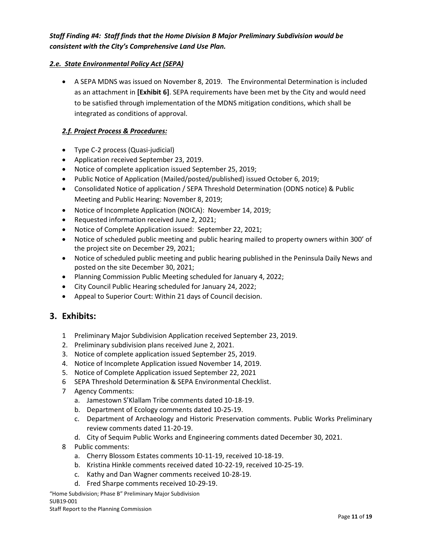# *Staff Finding #4: Staff finds that the Home Division B Major Preliminary Subdivision would be consistent with the City's Comprehensive Land Use Plan.*

# *2.e. State Environmental Policy Act (SEPA)*

• A SEPA MDNS was issued on November 8, 2019. The Environmental Determination is included as an attachment in **[Exhibit 6]**. SEPA requirements have been met by the City and would need to be satisfied through implementation of the MDNS mitigation conditions, which shall be integrated as conditions of approval.

## *2.f. Project Process & Procedures:*

- Type C-2 process (Quasi-judicial)
- Application received September 23, 2019.
- Notice of complete application issued September 25, 2019;
- Public Notice of Application (Mailed/posted/published) issued October 6, 2019;
- Consolidated Notice of application / SEPA Threshold Determination (ODNS notice) & Public Meeting and Public Hearing: November 8, 2019;
- Notice of Incomplete Application (NOICA): November 14, 2019;
- Requested information received June 2, 2021;
- Notice of Complete Application issued: September 22, 2021;
- Notice of scheduled public meeting and public hearing mailed to property owners within 300' of the project site on December 29, 2021;
- Notice of scheduled public meeting and public hearing published in the Peninsula Daily News and posted on the site December 30, 2021;
- Planning Commission Public Meeting scheduled for January 4, 2022;
- City Council Public Hearing scheduled for January 24, 2022;
- Appeal to Superior Court: Within 21 days of Council decision.

# **3. Exhibits:**

- 1 Preliminary Major Subdivision Application received September 23, 2019.
- 2. Preliminary subdivision plans received June 2, 2021.
- 3. Notice of complete application issued September 25, 2019.
- 4. Notice of Incomplete Application issued November 14, 2019.
- 5. Notice of Complete Application issued September 22, 2021
- 6 SEPA Threshold Determination & SEPA Environmental Checklist.
- 7 Agency Comments:
	- a. Jamestown S'Klallam Tribe comments dated 10-18-19.
	- b. Department of Ecology comments dated 10-25-19.
	- c. Department of Archaeology and Historic Preservation comments. Public Works Preliminary review comments dated 11-20-19.
	- d. City of Sequim Public Works and Engineering comments dated December 30, 2021.
- 8 Public comments:
	- a. Cherry Blossom Estates comments 10-11-19, received 10-18-19.
	- b. Kristina Hinkle comments received dated 10-22-19, received 10-25-19.
	- c. Kathy and Dan Wagner comments received 10-28-19.
	- d. Fred Sharpe comments received 10-29-19.

"Home Subdivision; Phase B" Preliminary Major Subdivision SUB19-001

Staff Report to the Planning Commission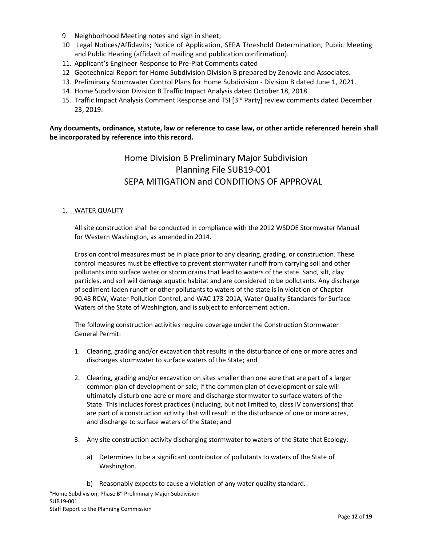- 9 Neighborhood Meeting notes and sign in sheet;
- 10 Legal Notices/Affidavits; Notice of Application, SEPA Threshold Determination, Public Meeting and Public Hearing (affidavit of mailing and publication confirmation).
- 11. Applicant's Engineer Response to Pre-Plat Comments dated
- 12 Geotechnical Report for Home Subdivision Division B prepared by Zenovic and Associates.
- 13. Preliminary Stormwater Control Plans for Home Subdivision Division B dated June 1, 2021.
- 14. Home Subdivision Division B Traffic Impact Analysis dated October 18, 2018.
- 15. Traffic Impact Analysis Comment Response and TSI [3<sup>rd</sup> Party] review comments dated December 23, 2019.

**Any documents, ordinance, statute, law or reference to case law, or other article referenced herein shall be incorporated by reference into this record.**

# Home Division B Preliminary Major Subdivision Planning File SUB19-001 SEPA MITIGATION and CONDITIONS OF APPROVAL

#### 1. WATER QUALITY

All site construction shall be conducted in compliance with the 2012 WSDOE Stormwater Manual for Western Washington, as amended in 2014.

Erosion control measures must be in place prior to any clearing, grading, or construction. These control measures must be effective to prevent stormwater runoff from carrying soil and other pollutants into surface water or storm drains that lead to waters of the state. Sand, silt, clay particles, and soil will damage aquatic habitat and are considered to be pollutants. Any discharge of sediment-laden runoff or other pollutants to waters of the state is in violation of Chapter 90.48 RCW, Water Pollution Control, and WAC 173-201A, Water Quality Standards for Surface Waters of the State of Washington, and is subject to enforcement action.

The following construction activities require coverage under the Construction Stormwater General Permit:

- 1. Clearing, grading and/or excavation that results in the disturbance of one or more acres and discharges stormwater to surface waters of the State; and
- 2. Clearing, grading and/or excavation on sites smaller than one acre that are part of a larger common plan of development or sale, if the common plan of development or sale will ultimately disturb one acre or more and discharge stormwater to surface waters of the State. This includes forest practices (including, but not limited to, class IV conversions) that are part of a construction activity that will result in the disturbance of one or more acres, and discharge to surface waters of the State; and
- 3. Any site construction activity discharging stormwater to waters of the State that Ecology:
	- a) Determines to be a significant contributor of pollutants to waters of the State of Washington.
	- b) Reasonably expects to cause a violation of any water quality standard.

"Home Subdivision; Phase B" Preliminary Major Subdivision SUB19-001 Staff Report to the Planning Commission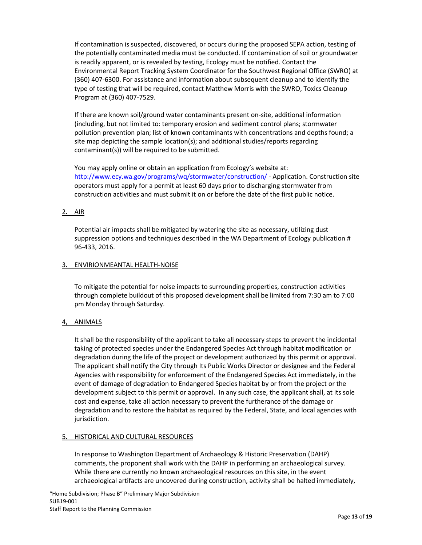If contamination is suspected, discovered, or occurs during the proposed SEPA action, testing of the potentially contaminated media must be conducted. If contamination of soil or groundwater is readily apparent, or is revealed by testing, Ecology must be notified. Contact the Environmental Report Tracking System Coordinator for the Southwest Regional Office (SWRO) at (360) 407-6300. For assistance and information about subsequent cleanup and to identify the type of testing that will be required, contact Matthew Morris with the SWRO, Toxics Cleanup Program at (360) 407-7529.

If there are known soil/ground water contaminants present on-site, additional information (including, but not limited to: temporary erosion and sediment control plans; stormwater pollution prevention plan; list of known contaminants with concentrations and depths found; a site map depicting the sample location(s); and additional studies/reports regarding contaminant(s)) will be required to be submitted.

You may apply online or obtain an application from Ecology's website at: <http://www.ecy.wa.gov/programs/wq/stormwater/construction/> - Application. Construction site operators must apply for a permit at least 60 days prior to discharging stormwater from construction activities and must submit it on or before the date of the first public notice.

### 2. AIR

Potential air impacts shall be mitigated by watering the site as necessary, utilizing dust suppression options and techniques described in the WA Department of Ecology publication # 96-433, 2016.

### 3. ENVIRIONMEANTAL HEALTH-NOISE

To mitigate the potential for noise impacts to surrounding properties, construction activities through complete buildout of this proposed development shall be limited from 7:30 am to 7:00 pm Monday through Saturday.

# 4, ANIMALS

It shall be the responsibility of the applicant to take all necessary steps to prevent the incidental taking of protected species under the Endangered Species Act through habitat modification or degradation during the life of the project or development authorized by this permit or approval. The applicant shall notify the City through Its Public Works Director or designee and the Federal Agencies with responsibility for enforcement of the Endangered Species Act immediately, in the event of damage of degradation to Endangered Species habitat by or from the project or the development subject to this permit or approval. In any such case, the applicant shall, at its sole cost and expense, take all action necessary to prevent the furtherance of the damage or degradation and to restore the habitat as required by the Federal, State, and local agencies with jurisdiction.

### 5. HISTORICAL AND CULTURAL RESOURCES

In response to Washington Department of Archaeology & Historic Preservation (DAHP) comments, the proponent shall work with the DAHP in performing an archaeological survey. While there are currently no known archaeological resources on this site, in the event archaeological artifacts are uncovered during construction, activity shall be halted immediately,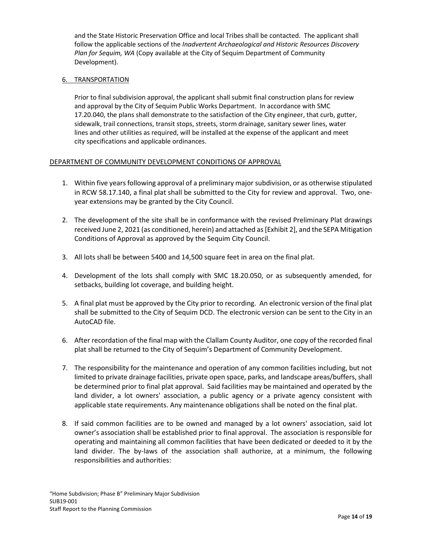and the State Historic Preservation Office and local Tribes shall be contacted. The applicant shall follow the applicable sections of the *Inadvertent Archaeological and Historic Resources Discovery Plan for Sequim, WA* (Copy available at the City of Sequim Department of Community Development).

#### 6. TRANSPORTATION

Prior to final subdivision approval, the applicant shall submit final construction plans for review and approval by the City of Sequim Public Works Department. In accordance with SMC 17.20.040, the plans shall demonstrate to the satisfaction of the City engineer, that curb, gutter, sidewalk, trail connections, transit stops, streets, storm drainage, sanitary sewer lines, water lines and other utilities as required, will be installed at the expense of the applicant and meet city specifications and applicable ordinances.

### DEPARTMENT OF COMMUNITY DEVELOPMENT CONDITIONS OF APPROVAL

- 1. Within five years following approval of a preliminary major subdivision, or as otherwise stipulated in RCW 58.17.140, a final plat shall be submitted to the City for review and approval. Two, oneyear extensions may be granted by the City Council.
- 2. The development of the site shall be in conformance with the revised Preliminary Plat drawings received June 2, 2021 (as conditioned, herein) and attached as [Exhibit 2], and the SEPA Mitigation Conditions of Approval as approved by the Sequim City Council.
- 3. All lots shall be between 5400 and 14,500 square feet in area on the final plat.
- 4. Development of the lots shall comply with SMC 18.20.050, or as subsequently amended, for setbacks, building lot coverage, and building height.
- 5. A final plat must be approved by the City prior to recording. An electronic version of the final plat shall be submitted to the City of Sequim DCD. The electronic version can be sent to the City in an AutoCAD file.
- 6. After recordation of the final map with the Clallam County Auditor, one copy of the recorded final plat shall be returned to the City of Sequim's Department of Community Development.
- 7. The responsibility for the maintenance and operation of any common facilities including, but not limited to private drainage facilities, private open space, parks, and landscape areas/buffers, shall be determined prior to final plat approval. Said facilities may be maintained and operated by the land divider, a lot owners' association, a public agency or a private agency consistent with applicable state requirements. Any maintenance obligations shall be noted on the final plat.
- 8. If said common facilities are to be owned and managed by a lot owners' association, said lot owner's association shall be established prior to final approval. The association is responsible for operating and maintaining all common facilities that have been dedicated or deeded to it by the land divider. The by-laws of the association shall authorize, at a minimum, the following responsibilities and authorities: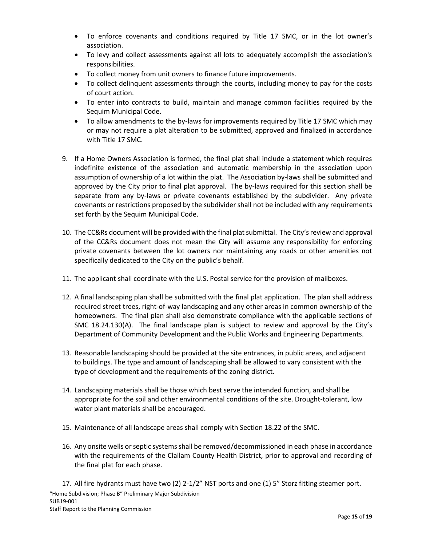- To enforce covenants and conditions required by Title 17 SMC, or in the lot owner's association.
- To levy and collect assessments against all lots to adequately accomplish the association's responsibilities.
- To collect money from unit owners to finance future improvements.
- To collect delinquent assessments through the courts, including money to pay for the costs of court action.
- To enter into contracts to build, maintain and manage common facilities required by the Sequim Municipal Code.
- To allow amendments to the by-laws for improvements required by Title 17 SMC which may or may not require a plat alteration to be submitted, approved and finalized in accordance with Title 17 SMC.
- 9. If a Home Owners Association is formed, the final plat shall include a statement which requires indefinite existence of the association and automatic membership in the association upon assumption of ownership of a lot within the plat. The Association by-laws shall be submitted and approved by the City prior to final plat approval. The by-laws required for this section shall be separate from any by-laws or private covenants established by the subdivider. Any private covenants or restrictions proposed by the subdivider shall not be included with any requirements set forth by the Sequim Municipal Code.
- 10. The CC&Rs document will be provided with the final plat submittal. The City's review and approval of the CC&Rs document does not mean the City will assume any responsibility for enforcing private covenants between the lot owners nor maintaining any roads or other amenities not specifically dedicated to the City on the public's behalf.
- 11. The applicant shall coordinate with the U.S. Postal service for the provision of mailboxes.
- 12. A final landscaping plan shall be submitted with the final plat application. The plan shall address required street trees, right-of-way landscaping and any other areas in common ownership of the homeowners. The final plan shall also demonstrate compliance with the applicable sections of SMC 18.24.130(A). The final landscape plan is subject to review and approval by the City's Department of Community Development and the Public Works and Engineering Departments.
- 13. Reasonable landscaping should be provided at the site entrances, in public areas, and adjacent to buildings. The type and amount of landscaping shall be allowed to vary consistent with the type of development and the requirements of the zoning district.
- 14. Landscaping materials shall be those which best serve the intended function, and shall be appropriate for the soil and other environmental conditions of the site. Drought-tolerant, low water plant materials shall be encouraged.
- 15. Maintenance of all landscape areas shall comply with Section 18.22 of the SMC.
- 16. Any onsite wells or septic systems shall be removed/decommissioned in each phase in accordance with the requirements of the Clallam County Health District, prior to approval and recording of the final plat for each phase.

"Home Subdivision; Phase B" Preliminary Major Subdivision SUB19-001 Staff Report to the Planning Commission 17. All fire hydrants must have two (2) 2-1/2" NST ports and one (1) 5" Storz fitting steamer port.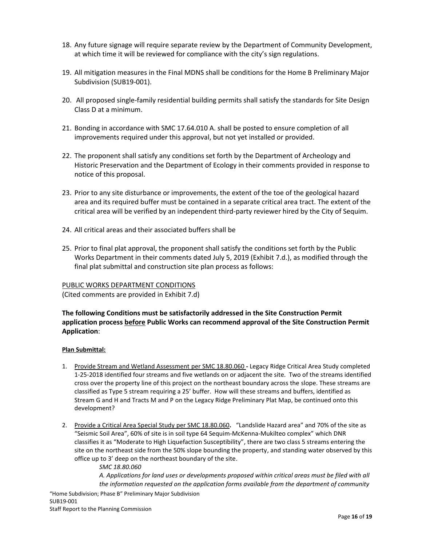- 18. Any future signage will require separate review by the Department of Community Development, at which time it will be reviewed for compliance with the city's sign regulations.
- 19. All mitigation measures in the Final MDNS shall be conditions for the Home B Preliminary Major Subdivision (SUB19-001).
- 20. All proposed single-family residential building permits shall satisfy the standards for Site Design Class D at a minimum.
- 21. Bonding in accordance with SMC 17.64.010 A. shall be posted to ensure completion of all improvements required under this approval, but not yet installed or provided.
- 22. The proponent shall satisfy any conditions set forth by the Department of Archeology and Historic Preservation and the Department of Ecology in their comments provided in response to notice of this proposal.
- 23. Prior to any site disturbance or improvements, the extent of the toe of the geological hazard area and its required buffer must be contained in a separate critical area tract. The extent of the critical area will be verified by an independent third-party reviewer hired by the City of Sequim.
- 24. All critical areas and their associated buffers shall be
- 25. Prior to final plat approval, the proponent shall satisfy the conditions set forth by the Public Works Department in their comments dated July 5, 2019 (Exhibit 7.d.), as modified through the final plat submittal and construction site plan process as follows:

### PUBLIC WORKS DEPARTMENT CONDITIONS

(Cited comments are provided in Exhibit 7.d)

# **The following Conditions must be satisfactorily addressed in the Site Construction Permit application process before Public Works can recommend approval of the Site Construction Permit Application**:

#### **Plan Submittal:**

- 1. Provide Stream and Wetland Assessment per SMC 18.80.060 **-** Legacy Ridge Critical Area Study completed 1-25-2018 identified four streams and five wetlands on or adjacent the site. Two of the streams identified cross over the property line of this project on the northeast boundary across the slope. These streams are classified as Type 5 stream requiring a 25' buffer. How will these streams and buffers, identified as Stream G and H and Tracts M and P on the Legacy Ridge Preliminary Plat Map, be continued onto this development?
- 2. Provide a Critical Area Special Study per SMC 18.80.060**.** "Landslide Hazard area" and 70% of the site as "Seismic Soil Area", 60% of site is in soil type 64 Sequim-McKenna-Mukilteo complex" which DNR classifies it as "Moderate to High Liquefaction Susceptibility", there are two class 5 streams entering the site on the northeast side from the 50% slope bounding the property, and standing water observed by this office up to 3' deep on the northeast boundary of the site.

*SMC 18.80.060 A. Applications for land uses or developments proposed within critical areas must be filed with all the information requested on the application forms available from the department of community*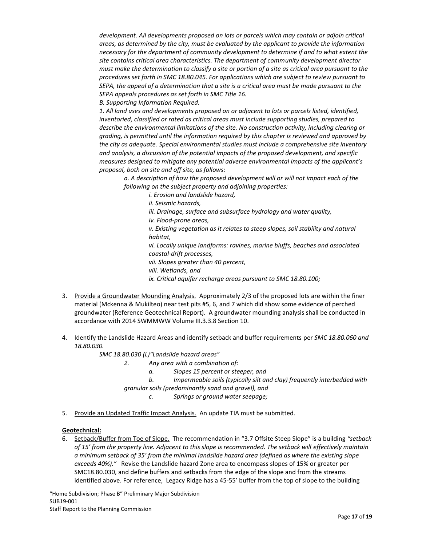*development. All developments proposed on lots or parcels which may contain or adjoin critical areas, as determined by the city, must be evaluated by the applicant to provide the information necessary for the department of community development to determine if and to what extent the site contains critical area characteristics. The department of community development director must make the determination to classify a site or portion of a site as critical area pursuant to the procedures set forth in SMC 18.80.045. For applications which are subject to review pursuant to SEPA, the appeal of a determination that a site is a critical area must be made pursuant to the SEPA appeals procedures as set forth in SMC Title 16.*

*B. Supporting Information Required.*

*1. All land uses and developments proposed on or adjacent to lots or parcels listed, identified, inventoried, classified or rated as critical areas must include supporting studies, prepared to describe the environmental limitations of the site. No construction activity, including clearing or grading, is permitted until the information required by this chapter is reviewed and approved by the city as adequate. Special environmental studies must include a comprehensive site inventory and analysis, a discussion of the potential impacts of the proposed development, and specific measures designed to mitigate any potential adverse environmental impacts of the applicant's proposal, both on site and off site, as follows:*

*a. A description of how the proposed development will or will not impact each of the following on the subject property and adjoining properties:*

*i. Erosion and landslide hazard,*

*ii. Seismic hazards,*

*iii. Drainage, surface and subsurface hydrology and water quality,*

*iv. Flood-prone areas,*

*v. Existing vegetation as it relates to steep slopes, soil stability and natural habitat,*

*vi. Locally unique landforms: ravines, marine bluffs, beaches and associated coastal-drift processes,*

*vii. Slopes greater than 40 percent,*

*viii. Wetlands, and*

*ix. Critical aquifer recharge areas pursuant to SMC 18.80.100;*

- 3. Provide a Groundwater Mounding Analysis. Approximately 2/3 of the proposed lots are within the finer material (Mckenna & Mukilteo) near test pits #5, 6, and 7 which did show some evidence of perched groundwater (Reference Geotechnical Report). A groundwater mounding analysis shall be conducted in accordance with 2014 SWMMWW Volume III.3.3.8 Section 10.
- 4. Identify the Landslide Hazard Areas and identify setback and buffer requirements per *SMC 18.80.060 and 18.80.030.*

*SMC 18.80.030 (L)"Landslide hazard areas"* 

- *2. Any area with a combination of:*
	- *a. Slopes 15 percent or steeper, and*
	- *b. Impermeable soils (typically silt and clay) frequently interbedded with*

*granular soils (predominantly sand and gravel), and*

*c. Springs or ground water seepage;*

5. Provide an Updated Traffic Impact Analysis. An update TIA must be submitted.

#### **Geotechnical:**

6. Setback/Buffer from Toe of Slope. The recommendation in "3.7 Offsite Steep Slope" is a building *"setback*  of 15' from the property line. Adjacent to this slope is recommended. The setback will effectively maintain *a minimum setback of 35' from the minimal landslide hazard area (defined as where the existing slope exceeds 40%)."* Revise the Landslide hazard Zone area to encompass slopes of 15% or greater per SMC18.80.030, and define buffers and setbacks from the edge of the slope and from the streams identified above. For reference, Legacy Ridge has a 45-55' buffer from the top of slope to the building

"Home Subdivision; Phase B" Preliminary Major Subdivision SUB19-001 Staff Report to the Planning Commission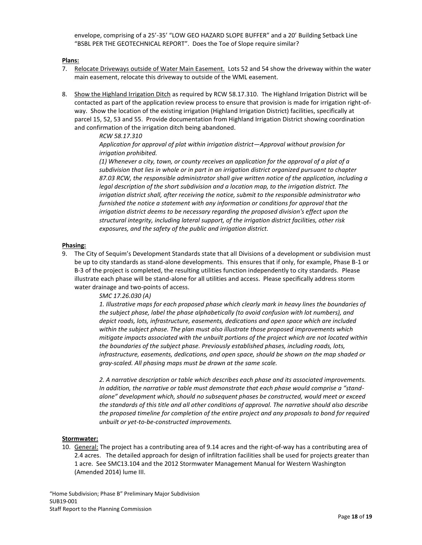envelope, comprising of a 25'-35' "LOW GEO HAZARD SLOPE BUFFER" and a 20' Building Setback Line "BSBL PER THE GEOTECHNICAL REPORT". Does the Toe of Slope require similar?

#### **Plans:**

- 7. Relocate Driveways outside of Water Main Easement. Lots 52 and 54 show the driveway within the water main easement, relocate this driveway to outside of the WML easement.
- 8. Show the Highland Irrigation Ditch as required by RCW 58.17.310. The Highland Irrigation District will be contacted as part of the application review process to ensure that provision is made for irrigation right-ofway. Show the location of the existing irrigation (Highland Irrigation District) facilities, specifically at parcel 15, 52, 53 and 55. Provide documentation from Highland Irrigation District showing coordination and confirmation of the irrigation ditch being abandoned.

#### *RCW 58.17.310*

*Application for approval of plat within irrigation district—Approval without provision for irrigation prohibited.*

*(1) Whenever a city, town, or county receives an application for the approval of a plat of a subdivision that lies in whole or in part in an irrigation district organized pursuant to chapter 87.03 RCW, the responsible administrator shall give written notice of the application, including a legal description of the short subdivision and a location map, to the irrigation district. The irrigation district shall, after receiving the notice, submit to the responsible administrator who furnished the notice a statement with any information or conditions for approval that the irrigation district deems to be necessary regarding the proposed division's effect upon the structural integrity, including lateral support, of the irrigation district facilities, other risk exposures, and the safety of the public and irrigation district.*

#### **Phasing:**

9. The City of Sequim's Development Standards state that all Divisions of a development or subdivision must be up to city standards as stand-alone developments. This ensures that if only, for example, Phase B-1 or B-3 of the project is completed, the resulting utilities function independently to city standards. Please illustrate each phase will be stand-alone for all utilities and access. Please specifically address storm water drainage and two-points of access.

#### *SMC 17.26.030 (A)*

*1. Illustrative maps for each proposed phase which clearly mark in heavy lines the boundaries of the subject phase, label the phase alphabetically (to avoid confusion with lot numbers), and depict roads, lots, infrastructure, easements, dedications and open space which are included within the subject phase. The plan must also illustrate those proposed improvements which mitigate impacts associated with the unbuilt portions of the project which are not located within the boundaries of the subject phase. Previously established phases, including roads, lots, infrastructure, easements, dedications, and open space, should be shown on the map shaded or gray-scaled. All phasing maps must be drawn at the same scale.*

*2. A narrative description or table which describes each phase and its associated improvements. In addition, the narrative or table must demonstrate that each phase would comprise a "standalone" development which, should no subsequent phases be constructed, would meet or exceed the standards of this title and all other conditions of approval. The narrative should also describe the proposed timeline for completion of the entire project and any proposals to bond for required unbuilt or yet-to-be-constructed improvements.*

#### **Stormwater:**

10. General: The project has a contributing area of 9.14 acres and the right-of-way has a contributing area of 2.4 acres. The detailed approach for design of infiltration facilities shall be used for projects greater than 1 acre. See SMC13.104 and the 2012 Stormwater Management Manual for Western Washington (Amended 2014) lume III.